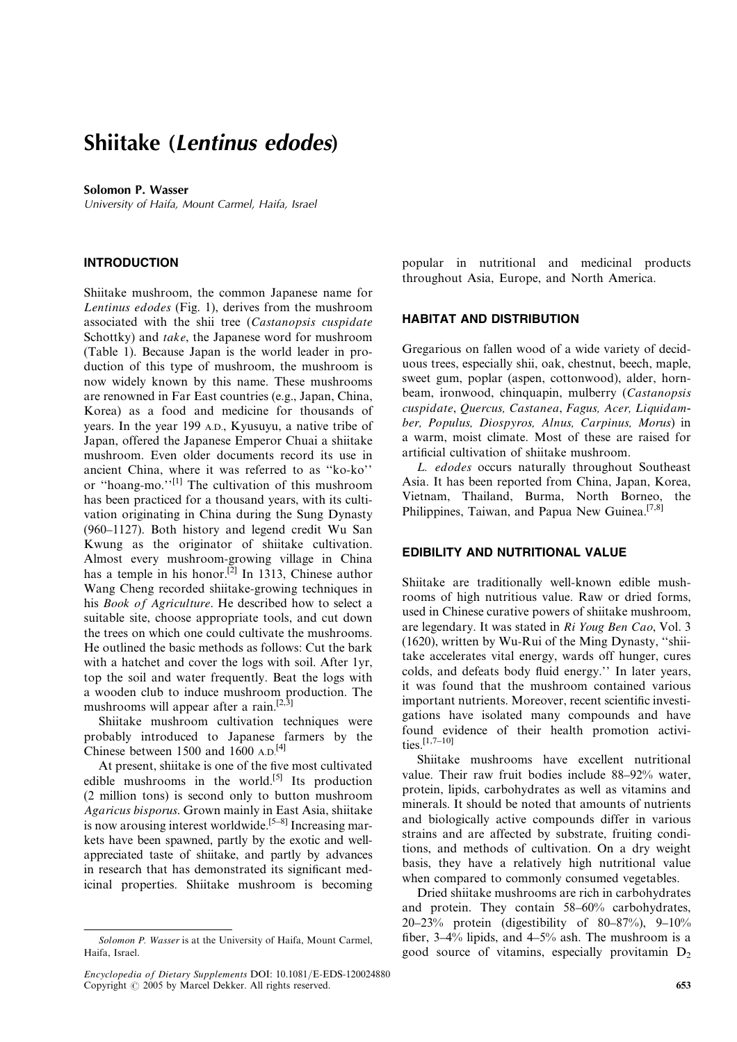# Shiitake (Lentinus edodes)

#### Solomon P. Wasser

University of Haifa, Mount Carmel, Haifa, Israel

# INTRODUCTION

Shiitake mushroom, the common Japanese name for Lentinus edodes (Fig. 1), derives from the mushroom associated with the shii tree (Castanopsis cuspidate Schottky) and take, the Japanese word for mushroom (Table 1). Because Japan is the world leader in production of this type of mushroom, the mushroom is now widely known by this name. These mushrooms are renowned in Far East countries (e.g., Japan, China, Korea) as a food and medicine for thousands of years. In the year 199 A.D., Kyusuyu, a native tribe of Japan, offered the Japanese Emperor Chuai a shiitake mushroom. Even older documents record its use in ancient China, where it was referred to as ''ko-ko'' or ''hoang-mo.''[1] The cultivation of this mushroom has been practiced for a thousand years, with its cultivation originating in China during the Sung Dynasty (960–1127). Both history and legend credit Wu San Kwung as the originator of shiitake cultivation. Almost every mushroom-growing village in China has a temple in his honor.<sup>[2]</sup> In 1313, Chinese author Wang Cheng recorded shiitake-growing techniques in his Book of Agriculture. He described how to select a suitable site, choose appropriate tools, and cut down the trees on which one could cultivate the mushrooms. He outlined the basic methods as follows: Cut the bark with a hatchet and cover the logs with soil. After 1yr, top the soil and water frequently. Beat the logs with a wooden club to induce mushroom production. The mushrooms will appear after a rain.<sup>[2,3]</sup>

Shiitake mushroom cultivation techniques were probably introduced to Japanese farmers by the Chinese between 1500 and 1600 A.D.[4]

At present, shiitake is one of the five most cultivated edible mushrooms in the world.<sup>[5]</sup> Its production (2 million tons) is second only to button mushroom Agaricus bisporus. Grown mainly in East Asia, shiitake is now arousing interest worldwide.<sup>[5-8]</sup> Increasing markets have been spawned, partly by the exotic and wellappreciated taste of shiitake, and partly by advances in research that has demonstrated its significant medicinal properties. Shiitake mushroom is becoming popular in nutritional and medicinal products throughout Asia, Europe, and North America.

#### HABITAT AND DISTRIBUTION

Gregarious on fallen wood of a wide variety of deciduous trees, especially shii, oak, chestnut, beech, maple, sweet gum, poplar (aspen, cottonwood), alder, hornbeam, ironwood, chinquapin, mulberry (Castanopsis cuspidate, Quercus, Castanea, Fagus, Acer, Liquidamber, Populus, Diospyros, Alnus, Carpinus, Morus) in a warm, moist climate. Most of these are raised for artificial cultivation of shiitake mushroom.

L. edodes occurs naturally throughout Southeast Asia. It has been reported from China, Japan, Korea, Vietnam, Thailand, Burma, North Borneo, the Philippines, Taiwan, and Papua New Guinea.<sup>[7,8]</sup>

## EDIBILITY AND NUTRITIONAL VALUE

Shiitake are traditionally well-known edible mushrooms of high nutritious value. Raw or dried forms, used in Chinese curative powers of shiitake mushroom, are legendary. It was stated in Ri Youg Ben Cao, Vol. 3 (1620), written by Wu-Rui of the Ming Dynasty, ''shiitake accelerates vital energy, wards off hunger, cures colds, and defeats body fluid energy.'' In later years, it was found that the mushroom contained various important nutrients. Moreover, recent scientific investigations have isolated many compounds and have found evidence of their health promotion activities.[1,7–10]

Shiitake mushrooms have excellent nutritional value. Their raw fruit bodies include 88–92% water, protein, lipids, carbohydrates as well as vitamins and minerals. It should be noted that amounts of nutrients and biologically active compounds differ in various strains and are affected by substrate, fruiting conditions, and methods of cultivation. On a dry weight basis, they have a relatively high nutritional value when compared to commonly consumed vegetables.

Dried shiitake mushrooms are rich in carbohydrates and protein. They contain 58–60% carbohydrates, 20–23% protein (digestibility of 80–87%), 9–10% fiber, 3–4% lipids, and 4–5% ash. The mushroom is a good source of vitamins, especially provitamin  $D_2$ 

Solomon P. Wasser is at the University of Haifa, Mount Carmel, Haifa, Israel.

Encyclopedia of Dietary Supplements DOI: 10.1081/E-EDS-120024880 Copyright  $\odot$  2005 by Marcel Dekker. All rights reserved. 653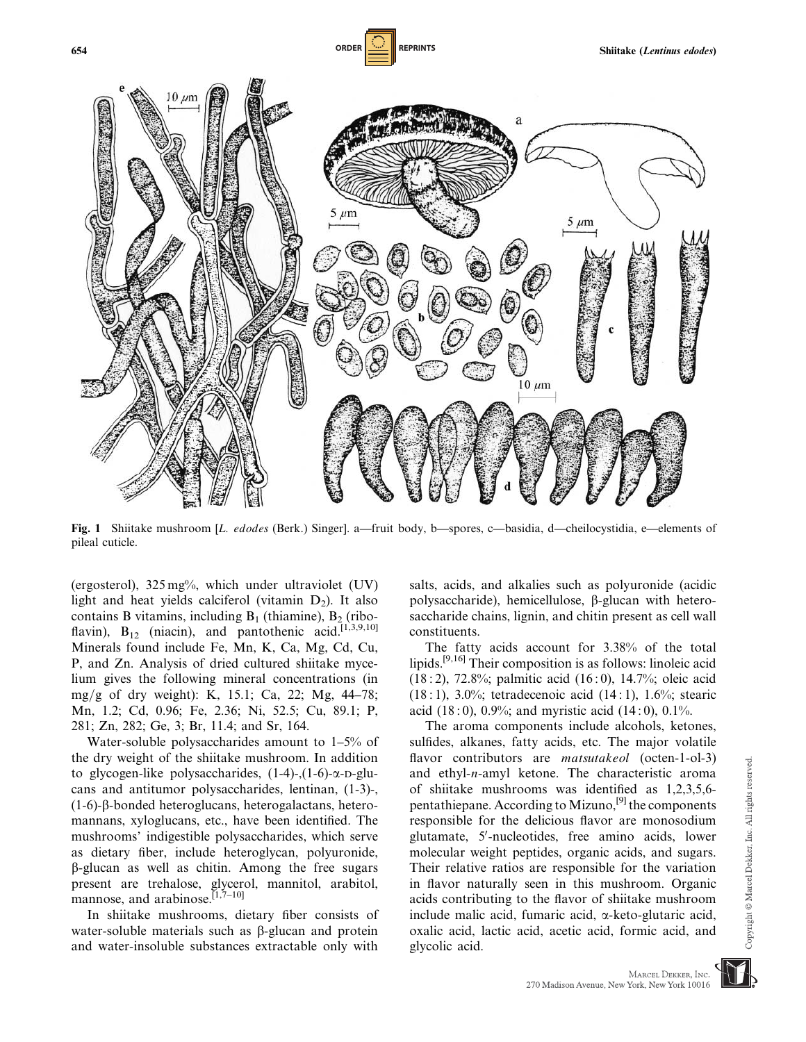

Fig. 1 Shiitake mushroom [L. edodes (Berk.) Singer]. a—fruit body, b—spores, c—basidia, d—cheilocystidia, e—elements of pileal cuticle.

(ergosterol), 325 mg%, which under ultraviolet (UV) light and heat yields calciferol (vitamin  $D_2$ ). It also contains B vitamins, including  $B_1$  (thiamine),  $B_2$  (riboflavin),  $B_{12}$  (niacin), and pantothenic acid.<sup>[1,3,9,10]</sup> Minerals found include Fe, Mn, K, Ca, Mg, Cd, Cu, P, and Zn. Analysis of dried cultured shiitake mycelium gives the following mineral concentrations (in mg/g of dry weight): K, 15.1; Ca, 22; Mg, 44-78; Mn, 1.2; Cd, 0.96; Fe, 2.36; Ni, 52.5; Cu, 89.1; P, 281; Zn, 282; Ge, 3; Br, 11.4; and Sr, 164.

Water-soluble polysaccharides amount to 1–5% of the dry weight of the shiitake mushroom. In addition to glycogen-like polysaccharides,  $(1-4)-(1-6)-\alpha-D-glu$ cans and antitumor polysaccharides, lentinan, (1-3)-,  $(1-6)$ - $\beta$ -bonded heteroglucans, heterogalactans, heteromannans, xyloglucans, etc., have been identified. The mushrooms' indigestible polysaccharides, which serve as dietary fiber, include heteroglycan, polyuronide, b-glucan as well as chitin. Among the free sugars present are trehalose, glycerol, mannitol, arabitol, mannose, and arabinose. $\left[1,7-10\right]$ 

In shiitake mushrooms, dietary fiber consists of water-soluble materials such as  $\beta$ -glucan and protein and water-insoluble substances extractable only with salts, acids, and alkalies such as polyuronide (acidic polysaccharide), hemicellulose,  $\beta$ -glucan with heterosaccharide chains, lignin, and chitin present as cell wall constituents.

The fatty acids account for 3.38% of the total lipids.[9,16] Their composition is as follows: linoleic acid (18 : 2), 72.8%; palmitic acid (16 : 0), 14.7%; oleic acid (18 : 1), 3.0%; tetradecenoic acid (14 : 1), 1.6%; stearic acid  $(18:0)$ ,  $0.9\%$ ; and myristic acid  $(14:0)$ ,  $0.1\%$ .

The aroma components include alcohols, ketones, sulfides, alkanes, fatty acids, etc. The major volatile flavor contributors are *matsutakeol* (octen-1-ol-3) and ethyl-n-amyl ketone. The characteristic aroma of shiitake mushrooms was identified as 1,2,3,5,6 pentathiepane. According to Mizuno,  $[9]$  the components responsible for the delicious flavor are monosodium glutamate, 5'-nucleotides, free amino acids, lower molecular weight peptides, organic acids, and sugars. Their relative ratios are responsible for the variation in flavor naturally seen in this mushroom. Organic acids contributing to the flavor of shiitake mushroom include malic acid, fumaric acid, a-keto-glutaric acid, oxalic acid, lactic acid, acetic acid, formic acid, and glycolic acid.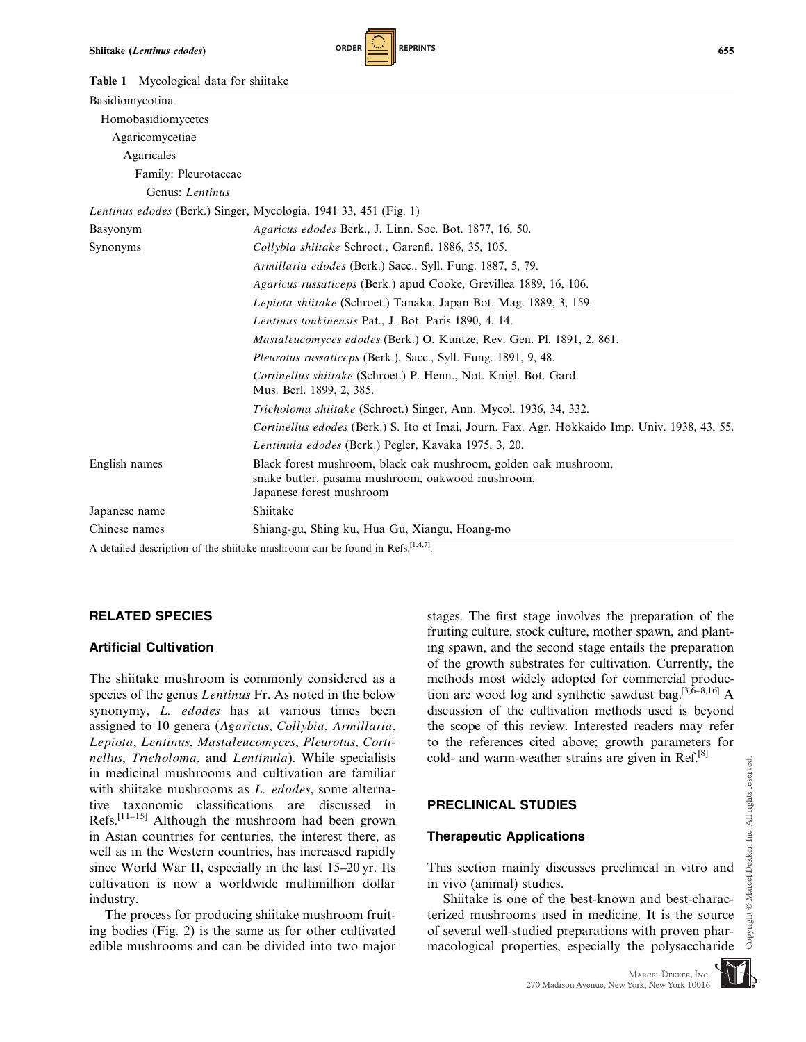

Table 1 Mycological data for shiitake

| Basidiomycotina      |                                                                                                                                                  |
|----------------------|--------------------------------------------------------------------------------------------------------------------------------------------------|
| Homobasidiomycetes   |                                                                                                                                                  |
| Agaricomycetiae      |                                                                                                                                                  |
| Agaricales           |                                                                                                                                                  |
| Family: Pleurotaceae |                                                                                                                                                  |
| Genus: Lentinus      |                                                                                                                                                  |
|                      | <i>Lentinus edodes</i> (Berk.) Singer, Mycologia, 1941 33, 451 (Fig. 1)                                                                          |
| Basyonym             | Agaricus edodes Berk., J. Linn. Soc. Bot. 1877, 16, 50.                                                                                          |
| Synonyms             | Collybia shiitake Schroet., Garenfl. 1886, 35, 105.                                                                                              |
|                      | Armillaria edodes (Berk.) Sacc., Syll. Fung. 1887, 5, 79.                                                                                        |
|                      | <i>Agaricus russaticeps</i> (Berk.) apud Cooke, Grevillea 1889, 16, 106.                                                                         |
|                      | Lepiota shiitake (Schroet.) Tanaka, Japan Bot. Mag. 1889, 3, 159.                                                                                |
|                      | Lentinus tonkinensis Pat., J. Bot. Paris 1890, 4, 14.                                                                                            |
|                      | Mastaleucomyces edodes (Berk.) O. Kuntze, Rev. Gen. Pl. 1891, 2, 861.                                                                            |
|                      | <i>Pleurotus russaticeps</i> (Berk.), Sacc., Syll. Fung. 1891, 9, 48.                                                                            |
|                      | Cortinellus shiitake (Schroet.) P. Henn., Not. Knigl. Bot. Gard.<br>Mus. Berl. 1899, 2, 385.                                                     |
|                      | Tricholoma shiitake (Schroet.) Singer, Ann. Mycol. 1936, 34, 332.                                                                                |
|                      | Cortinellus edodes (Berk.) S. Ito et Imai, Journ. Fax. Agr. Hokkaido Imp. Univ. 1938, 43, 55.                                                    |
|                      | Lentinula edodes (Berk.) Pegler, Kavaka 1975, 3, 20.                                                                                             |
| English names        | Black forest mushroom, black oak mushroom, golden oak mushroom,<br>snake butter, pasania mushroom, oakwood mushroom,<br>Japanese forest mushroom |
| Japanese name        | Shiitake                                                                                                                                         |
| Chinese names        | Shiang-gu, Shing ku, Hua Gu, Xiangu, Hoang-mo                                                                                                    |

A detailed description of the shiitake mushroom can be found in Refs.<sup>[1,4,7]</sup>.

# RELATED SPECIES

## Artificial Cultivation

The shiitake mushroom is commonly considered as a species of the genus *Lentinus* Fr. As noted in the below synonymy, L. edodes has at various times been assigned to 10 genera (Agaricus, Collybia, Armillaria, Lepiota, Lentinus, Mastaleucomyces, Pleurotus, Cortinellus, Tricholoma, and Lentinula). While specialists in medicinal mushrooms and cultivation are familiar with shiitake mushrooms as *L. edodes*, some alternative taxonomic classifications are discussed in Refs.[11–15] Although the mushroom had been grown in Asian countries for centuries, the interest there, as well as in the Western countries, has increased rapidly since World War II, especially in the last 15–20 yr. Its cultivation is now a worldwide multimillion dollar industry.

The process for producing shiitake mushroom fruiting bodies (Fig. 2) is the same as for other cultivated edible mushrooms and can be divided into two major stages. The first stage involves the preparation of the fruiting culture, stock culture, mother spawn, and planting spawn, and the second stage entails the preparation of the growth substrates for cultivation. Currently, the methods most widely adopted for commercial production are wood log and synthetic sawdust bag.<sup>[3,6–8,16]</sup> A discussion of the cultivation methods used is beyond the scope of this review. Interested readers may refer to the references cited above; growth parameters for cold- and warm-weather strains are given in Ref.<sup>[8]</sup>

### PRECLINICAL STUDIES

#### Therapeutic Applications

This section mainly discusses preclinical in vitro and in vivo (animal) studies.

Shiitake is one of the best-known and best-characterized mushrooms used in medicine. It is the source of several well-studied preparations with proven pharmacological properties, especially the polysaccharide

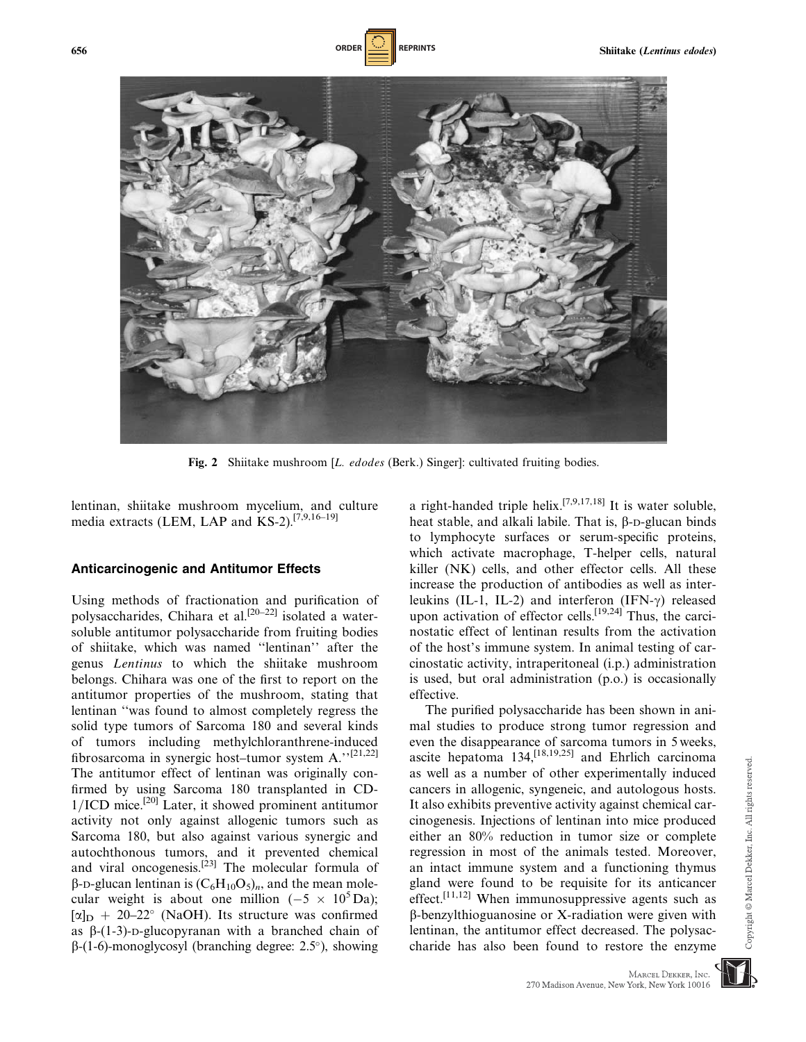

Fig. 2 Shiitake mushroom [L. edodes (Berk.) Singer]: cultivated fruiting bodies.

lentinan, shiitake mushroom mycelium, and culture media extracts (LEM, LAP and KS-2).[7,9,16–19]

#### Anticarcinogenic and Antitumor Effects

Using methods of fractionation and purification of polysaccharides, Chihara et al.[20–22] isolated a watersoluble antitumor polysaccharide from fruiting bodies of shiitake, which was named ''lentinan'' after the genus Lentinus to which the shiitake mushroom belongs. Chihara was one of the first to report on the antitumor properties of the mushroom, stating that lentinan ''was found to almost completely regress the solid type tumors of Sarcoma 180 and several kinds of tumors including methylchloranthrene-induced fibrosarcoma in synergic host-tumor system  $A$ .''<sup>[21,22]</sup> The antitumor effect of lentinan was originally confirmed by using Sarcoma 180 transplanted in CD- $1/ICD$  mice.<sup>[20]</sup> Later, it showed prominent antitumor activity not only against allogenic tumors such as Sarcoma 180, but also against various synergic and autochthonous tumors, and it prevented chemical and viral oncogenesis.[23] The molecular formula of  $\beta$ -D-glucan lentinan is  $(C_6H_{10}O_5)_n$ , and the mean molecular weight is about one million  $(-5 \times 10^5 \text{Da})$ ;  $[\alpha]_D$  + 20–22° (NaOH). Its structure was confirmed as  $\beta$ -(1-3)-D-glucopyranan with a branched chain of  $\beta$ -(1-6)-monoglycosyl (branching degree: 2.5°), showing a right-handed triple helix.<sup>[7,9,17,18]</sup> It is water soluble, heat stable, and alkali labile. That is,  $\beta$ -D-glucan binds to lymphocyte surfaces or serum-specific proteins, which activate macrophage, T-helper cells, natural killer (NK) cells, and other effector cells. All these increase the production of antibodies as well as interleukins (IL-1, IL-2) and interferon (IFN- $\gamma$ ) released upon activation of effector cells.<sup>[19,24]</sup> Thus, the carcinostatic effect of lentinan results from the activation of the host's immune system. In animal testing of carcinostatic activity, intraperitoneal (i.p.) administration is used, but oral administration (p.o.) is occasionally effective.

The purified polysaccharide has been shown in animal studies to produce strong tumor regression and even the disappearance of sarcoma tumors in 5 weeks, ascite hepatoma  $134$ ,<sup>[18,19,25]</sup> and Ehrlich carcinoma as well as a number of other experimentally induced cancers in allogenic, syngeneic, and autologous hosts. It also exhibits preventive activity against chemical carcinogenesis. Injections of lentinan into mice produced either an 80% reduction in tumor size or complete regression in most of the animals tested. Moreover, an intact immune system and a functioning thymus gland were found to be requisite for its anticancer effect.[11,12] When immunosuppressive agents such as b-benzylthioguanosine or X-radiation were given with lentinan, the antitumor effect decreased. The polysaccharide has also been found to restore the enzyme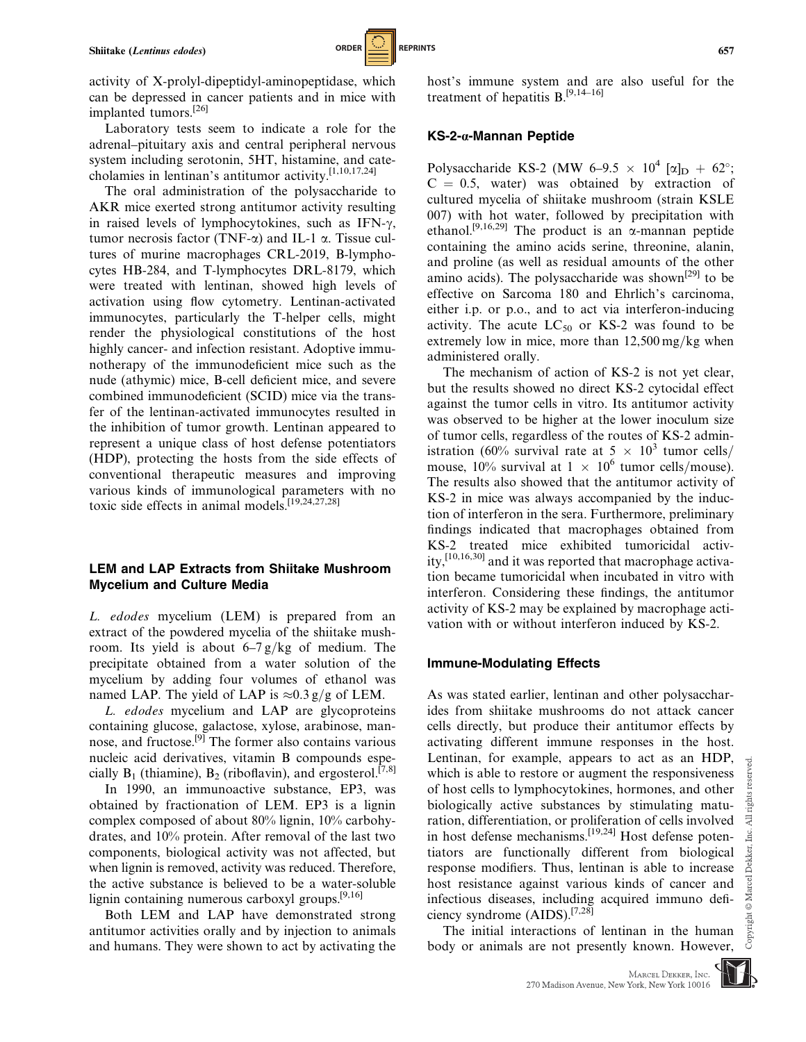

activity of X-prolyl-dipeptidyl-aminopeptidase, which can be depressed in cancer patients and in mice with implanted tumors.[26]

Laboratory tests seem to indicate a role for the adrenal–pituitary axis and central peripheral nervous system including serotonin, 5HT, histamine, and catecholamies in lentinan's antitumor activity.[1,10,17,24]

The oral administration of the polysaccharide to AKR mice exerted strong antitumor activity resulting in raised levels of lymphocytokines, such as IFN- $\gamma$ , tumor necrosis factor (TNF- $\alpha$ ) and IL-1  $\alpha$ . Tissue cultures of murine macrophages CRL-2019, B-lymphocytes HB-284, and T-lymphocytes DRL-8179, which were treated with lentinan, showed high levels of activation using flow cytometry. Lentinan-activated immunocytes, particularly the T-helper cells, might render the physiological constitutions of the host highly cancer- and infection resistant. Adoptive immunotherapy of the immunodeficient mice such as the nude (athymic) mice, B-cell deficient mice, and severe combined immunodeficient (SCID) mice via the transfer of the lentinan-activated immunocytes resulted in the inhibition of tumor growth. Lentinan appeared to represent a unique class of host defense potentiators (HDP), protecting the hosts from the side effects of conventional therapeutic measures and improving various kinds of immunological parameters with no toxic side effects in animal models.[19,24,27,28]

# LEM and LAP Extracts from Shiitake Mushroom Mycelium and Culture Media

L. edodes mycelium (LEM) is prepared from an extract of the powdered mycelia of the shiitake mushroom. Its yield is about  $6-7 g/kg$  of medium. The precipitate obtained from a water solution of the mycelium by adding four volumes of ethanol was named LAP. The yield of LAP is  $\approx 0.3 \frac{g}{g}$  of LEM.

L. edodes mycelium and LAP are glycoproteins containing glucose, galactose, xylose, arabinose, mannose, and fructose.<sup>[9]</sup> The former also contains various nucleic acid derivatives, vitamin B compounds especially  $B_1$  (thiamine),  $B_2$  (riboflavin), and ergosterol.<sup>[7,8]</sup>

In 1990, an immunoactive substance, EP3, was obtained by fractionation of LEM. EP3 is a lignin complex composed of about 80% lignin, 10% carbohydrates, and 10% protein. After removal of the last two components, biological activity was not affected, but when lignin is removed, activity was reduced. Therefore, the active substance is believed to be a water-soluble lignin containing numerous carboxyl groups. $[9,16]$ 

Both LEM and LAP have demonstrated strong antitumor activities orally and by injection to animals and humans. They were shown to act by activating the

host's immune system and are also useful for the treatment of hepatitis B.[9,14–16]

#### KS-2-a-Mannan Peptide

Polysaccharide KS-2 (MW 6–9.5  $\times$  10<sup>4</sup> [ $\alpha$ ]<sub>D</sub> + 62°;<br>C = 0.5 water) was obtained by extraction of  $C = 0.5$ , water) was obtained by extraction of cultured mycelia of shiitake mushroom (strain KSLE 007) with hot water, followed by precipitation with ethanol.<sup>[9,16,29]</sup> The product is an  $\alpha$ -mannan peptide containing the amino acids serine, threonine, alanin, and proline (as well as residual amounts of the other amino acids). The polysaccharide was shown<sup>[29]</sup> to be effective on Sarcoma 180 and Ehrlich's carcinoma, either i.p. or p.o., and to act via interferon-inducing activity. The acute  $LC_{50}$  or KS-2 was found to be extremely low in mice, more than  $12,500$  mg/kg when administered orally.

The mechanism of action of KS-2 is not yet clear, but the results showed no direct KS-2 cytocidal effect against the tumor cells in vitro. Its antitumor activity was observed to be higher at the lower inoculum size of tumor cells, regardless of the routes of KS-2 administration (60% survival rate at  $5 \times 10^3$  tumor cells/ mouse, 10% survival at  $1 \times 10^6$  tumor cells/mouse). The results also showed that the antitumor activity of KS-2 in mice was always accompanied by the induction of interferon in the sera. Furthermore, preliminary findings indicated that macrophages obtained from KS-2 treated mice exhibited tumoricidal activity,[10,16,30] and it was reported that macrophage activation became tumoricidal when incubated in vitro with interferon. Considering these findings, the antitumor activity of KS-2 may be explained by macrophage activation with or without interferon induced by KS-2.

#### Immune-Modulating Effects

As was stated earlier, lentinan and other polysaccharides from shiitake mushrooms do not attack cancer cells directly, but produce their antitumor effects by activating different immune responses in the host. Lentinan, for example, appears to act as an HDP, which is able to restore or augment the responsiveness of host cells to lymphocytokines, hormones, and other biologically active substances by stimulating maturation, differentiation, or proliferation of cells involved in host defense mechanisms.<sup>[19,24]</sup> Host defense potentiators are functionally different from biological response modifiers. Thus, lentinan is able to increase host resistance against various kinds of cancer and infectious diseases, including acquired immuno deficiency syndrome (AIDS).[7,28]

The initial interactions of lentinan in the human body or animals are not presently known. However,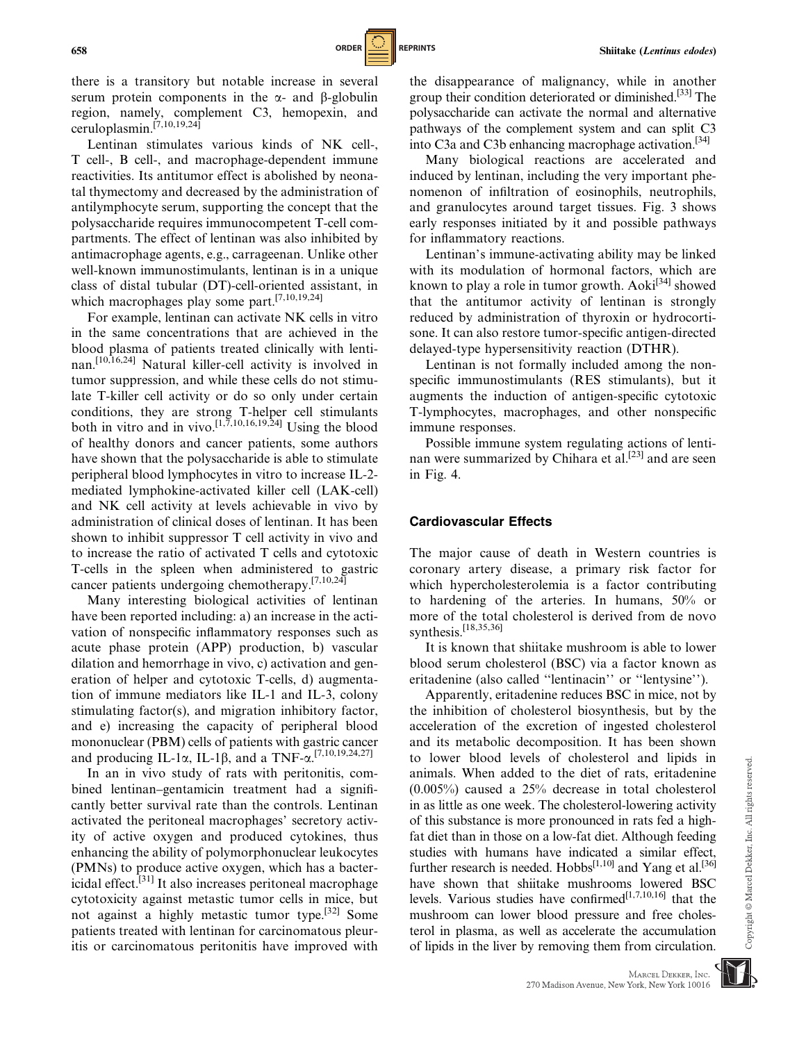

there is a transitory but notable increase in several serum protein components in the  $\alpha$ - and  $\beta$ -globulin region, namely, complement C3, hemopexin, and ceruloplasmin.[7,10,19,24]

Lentinan stimulates various kinds of NK cell-, T cell-, B cell-, and macrophage-dependent immune reactivities. Its antitumor effect is abolished by neonatal thymectomy and decreased by the administration of antilymphocyte serum, supporting the concept that the polysaccharide requires immunocompetent T-cell compartments. The effect of lentinan was also inhibited by antimacrophage agents, e.g., carrageenan. Unlike other well-known immunostimulants, lentinan is in a unique class of distal tubular (DT)-cell-oriented assistant, in which macrophages play some part.<sup>[7,10,19,24]</sup>

For example, lentinan can activate NK cells in vitro in the same concentrations that are achieved in the blood plasma of patients treated clinically with lentinan.[10,16,24] Natural killer-cell activity is involved in tumor suppression, and while these cells do not stimulate T-killer cell activity or do so only under certain conditions, they are strong T-helper cell stimulants both in vitro and in vivo.<sup>[1,7,10,16,19,24]</sup> Using the blood of healthy donors and cancer patients, some authors have shown that the polysaccharide is able to stimulate peripheral blood lymphocytes in vitro to increase IL-2 mediated lymphokine-activated killer cell (LAK-cell) and NK cell activity at levels achievable in vivo by administration of clinical doses of lentinan. It has been shown to inhibit suppressor T cell activity in vivo and to increase the ratio of activated T cells and cytotoxic T-cells in the spleen when administered to gastric cancer patients undergoing chemotherapy.[7,10,24]

Many interesting biological activities of lentinan have been reported including: a) an increase in the activation of nonspecific inflammatory responses such as acute phase protein (APP) production, b) vascular dilation and hemorrhage in vivo, c) activation and generation of helper and cytotoxic T-cells, d) augmentation of immune mediators like IL-1 and IL-3, colony stimulating factor(s), and migration inhibitory factor, and e) increasing the capacity of peripheral blood mononuclear (PBM) cells of patients with gastric cancer and producing IL-1 $\alpha$ , IL-1 $\beta$ , and a TNF- $\alpha$ .<sup>[7,10,19,24,27]</sup><br>In an in vivo study of rats with peritonitis com

In an in vivo study of rats with peritonitis, combined lentinan–gentamicin treatment had a significantly better survival rate than the controls. Lentinan activated the peritoneal macrophages' secretory activity of active oxygen and produced cytokines, thus enhancing the ability of polymorphonuclear leukocytes (PMNs) to produce active oxygen, which has a bactericidal effect.[31] It also increases peritoneal macrophage cytotoxicity against metastic tumor cells in mice, but not against a highly metastic tumor type.[32] Some patients treated with lentinan for carcinomatous pleuritis or carcinomatous peritonitis have improved with

the disappearance of malignancy, while in another group their condition deteriorated or diminished.<sup>[33]</sup> The polysaccharide can activate the normal and alternative pathways of the complement system and can split C3 into C3a and C3b enhancing macrophage activation.[34]

Many biological reactions are accelerated and induced by lentinan, including the very important phenomenon of infiltration of eosinophils, neutrophils, and granulocytes around target tissues. Fig. 3 shows early responses initiated by it and possible pathways for inflammatory reactions.

Lentinan's immune-activating ability may be linked with its modulation of hormonal factors, which are known to play a role in tumor growth. Aoki $[34]$  showed that the antitumor activity of lentinan is strongly reduced by administration of thyroxin or hydrocortisone. It can also restore tumor-specific antigen-directed delayed-type hypersensitivity reaction (DTHR).

Lentinan is not formally included among the nonspecific immunostimulants (RES stimulants), but it augments the induction of antigen-specific cytotoxic T-lymphocytes, macrophages, and other nonspecific immune responses.

Possible immune system regulating actions of lentinan were summarized by Chihara et al.<sup>[23]</sup> and are seen in Fig. 4.

#### Cardiovascular Effects

The major cause of death in Western countries is coronary artery disease, a primary risk factor for which hypercholesterolemia is a factor contributing to hardening of the arteries. In humans, 50% or more of the total cholesterol is derived from de novo synthesis.[18,35,36]

It is known that shiitake mushroom is able to lower blood serum cholesterol (BSC) via a factor known as eritadenine (also called ''lentinacin'' or ''lentysine'').

Apparently, eritadenine reduces BSC in mice, not by the inhibition of cholesterol biosynthesis, but by the acceleration of the excretion of ingested cholesterol and its metabolic decomposition. It has been shown to lower blood levels of cholesterol and lipids in animals. When added to the diet of rats, eritadenine (0.005%) caused a 25% decrease in total cholesterol in as little as one week. The cholesterol-lowering activity of this substance is more pronounced in rats fed a highfat diet than in those on a low-fat diet. Although feeding studies with humans have indicated a similar effect, further research is needed. Hobbs<sup>[1,10]</sup> and Yang et al.<sup>[36]</sup> have shown that shiitake mushrooms lowered BSC levels. Various studies have confirmed $[1,7,10,16]$  that the mushroom can lower blood pressure and free cholesterol in plasma, as well as accelerate the accumulation of lipids in the liver by removing them from circulation.

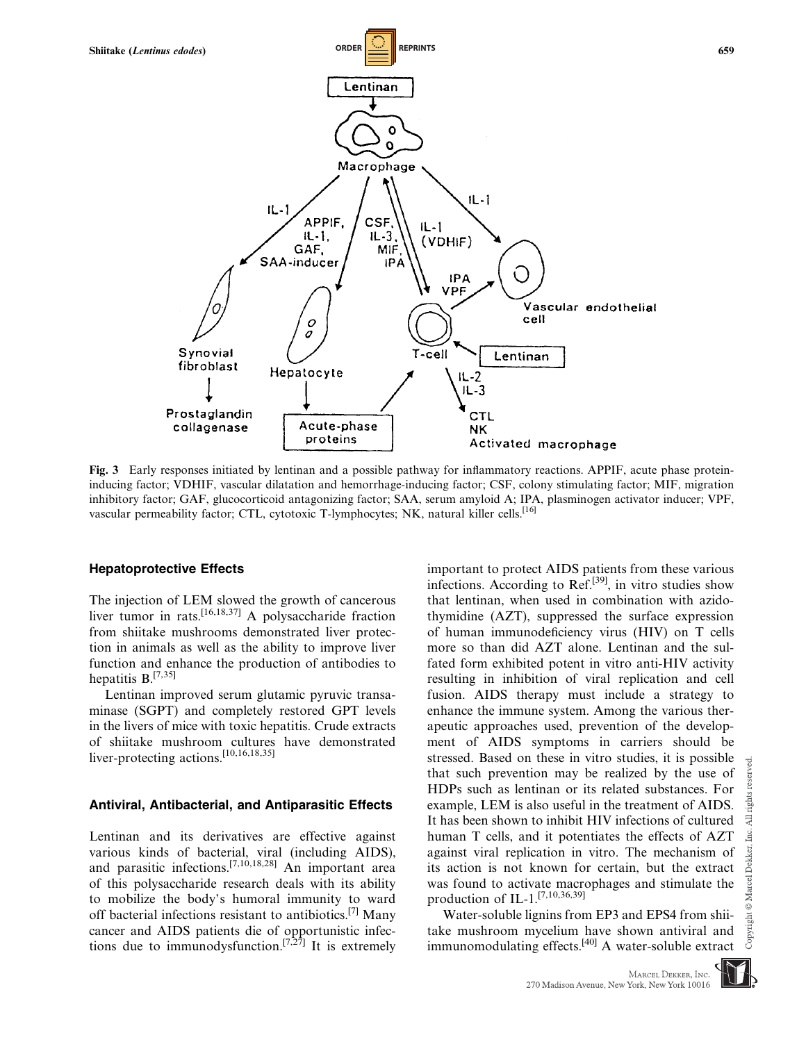

Fig. 3 Early responses initiated by lentinan and a possible pathway for inflammatory reactions. APPIF, acute phase proteininducing factor; VDHIF, vascular dilatation and hemorrhage-inducing factor; CSF, colony stimulating factor; MIF, migration inhibitory factor; GAF, glucocorticoid antagonizing factor; SAA, serum amyloid A; IPA, plasminogen activator inducer; VPF, vascular permeability factor; CTL, cytotoxic T-lymphocytes; NK, natural killer cells.<sup>[16]</sup>

#### Hepatoprotective Effects

The injection of LEM slowed the growth of cancerous liver tumor in rats.<sup>[16,18,37]</sup> A polysaccharide fraction from shiitake mushrooms demonstrated liver protection in animals as well as the ability to improve liver function and enhance the production of antibodies to hepatitis  $B^{[7,35]}$ 

Lentinan improved serum glutamic pyruvic transaminase (SGPT) and completely restored GPT levels in the livers of mice with toxic hepatitis. Crude extracts of shiitake mushroom cultures have demonstrated liver-protecting actions.<sup>[10,16,18,35]</sup>

# Antiviral, Antibacterial, and Antiparasitic Effects

Lentinan and its derivatives are effective against various kinds of bacterial, viral (including AIDS), and parasitic infections.[7,10,18,28] An important area of this polysaccharide research deals with its ability to mobilize the body's humoral immunity to ward off bacterial infections resistant to antibiotics.<sup>[7]</sup> Many cancer and AIDS patients die of opportunistic infections due to immunodysfunction.<sup>[7,27]</sup> It is extremely

important to protect AIDS patients from these various infections. According to  $\text{Ref.}^{[39]}$ , in vitro studies show that lentinan, when used in combination with azidothymidine (AZT), suppressed the surface expression of human immunodeficiency virus (HIV) on T cells more so than did AZT alone. Lentinan and the sulfated form exhibited potent in vitro anti-HIV activity resulting in inhibition of viral replication and cell fusion. AIDS therapy must include a strategy to enhance the immune system. Among the various therapeutic approaches used, prevention of the development of AIDS symptoms in carriers should be stressed. Based on these in vitro studies, it is possible that such prevention may be realized by the use of HDPs such as lentinan or its related substances. For example, LEM is also useful in the treatment of AIDS. It has been shown to inhibit HIV infections of cultured human T cells, and it potentiates the effects of AZT against viral replication in vitro. The mechanism of its action is not known for certain, but the extract was found to activate macrophages and stimulate the production of IL-1.<sup>[7,10,36,39]</sup>

Water-soluble lignins from EP3 and EPS4 from shiitake mushroom mycelium have shown antiviral and immunomodulating effects.<sup>[40]</sup> A water-soluble extract

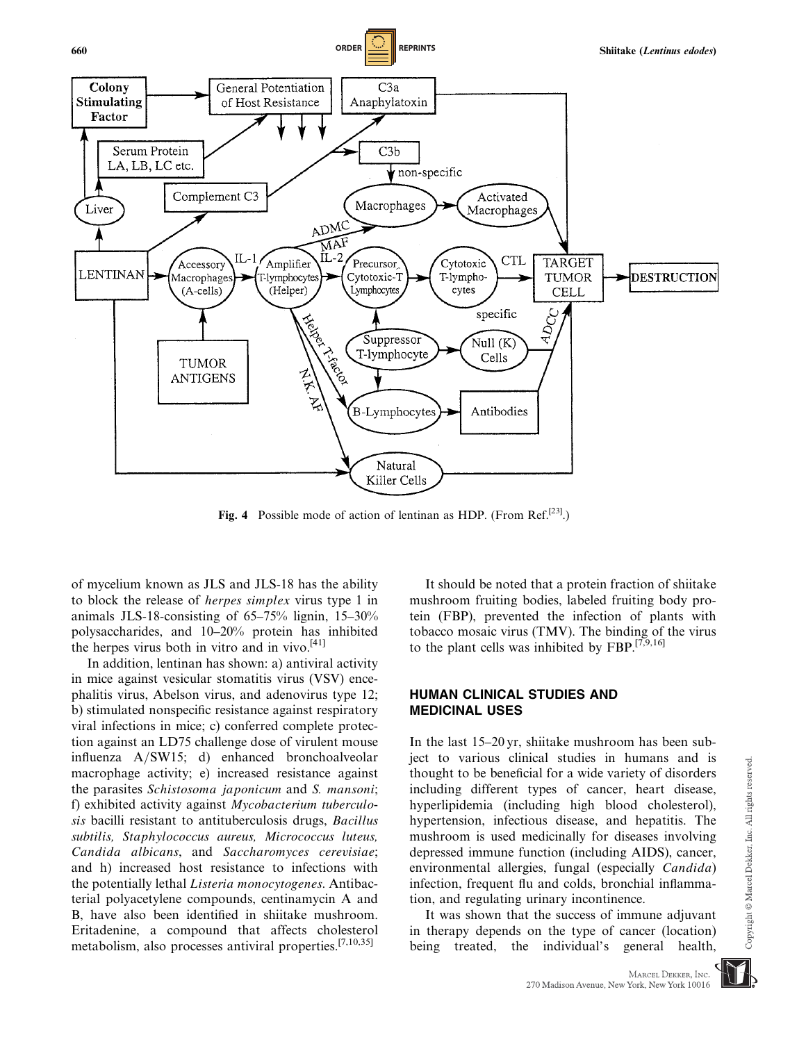

Fig. 4 Possible mode of action of lentinan as HDP. (From Ref.<sup>[23]</sup>.)

of mycelium known as JLS and JLS-18 has the ability to block the release of herpes simplex virus type 1 in animals JLS-18-consisting of 65–75% lignin, 15–30% polysaccharides, and 10–20% protein has inhibited the herpes virus both in vitro and in vivo. $[41]$ 

In addition, lentinan has shown: a) antiviral activity in mice against vesicular stomatitis virus (VSV) encephalitis virus, Abelson virus, and adenovirus type 12; b) stimulated nonspecific resistance against respiratory viral infections in mice; c) conferred complete protection against an LD75 challenge dose of virulent mouse influenza  $A/SW15$ ; d) enhanced bronchoalveolar macrophage activity; e) increased resistance against the parasites Schistosoma japonicum and S. mansoni; f) exhibited activity against Mycobacterium tuberculosis bacilli resistant to antituberculosis drugs, Bacillus subtilis, Staphylococcus aureus, Micrococcus luteus, Candida albicans, and Saccharomyces cerevisiae; and h) increased host resistance to infections with the potentially lethal Listeria monocytogenes. Antibacterial polyacetylene compounds, centinamycin A and B, have also been identified in shiitake mushroom. Eritadenine, a compound that affects cholesterol metabolism, also processes antiviral properties.[7,10,35]

It should be noted that a protein fraction of shiitake mushroom fruiting bodies, labeled fruiting body protein (FBP), prevented the infection of plants with tobacco mosaic virus (TMV). The binding of the virus to the plant cells was inhibited by  $FBP$ .<sup>[7,9,16]</sup>

# HUMAN CLINICAL STUDIES AND MEDICINAL USES

In the last 15–20 yr, shiitake mushroom has been subject to various clinical studies in humans and is thought to be beneficial for a wide variety of disorders including different types of cancer, heart disease, hyperlipidemia (including high blood cholesterol), hypertension, infectious disease, and hepatitis. The mushroom is used medicinally for diseases involving depressed immune function (including AIDS), cancer, environmental allergies, fungal (especially Candida) infection, frequent flu and colds, bronchial inflammation, and regulating urinary incontinence.

It was shown that the success of immune adjuvant in therapy depends on the type of cancer (location) being treated, the individual's general health,

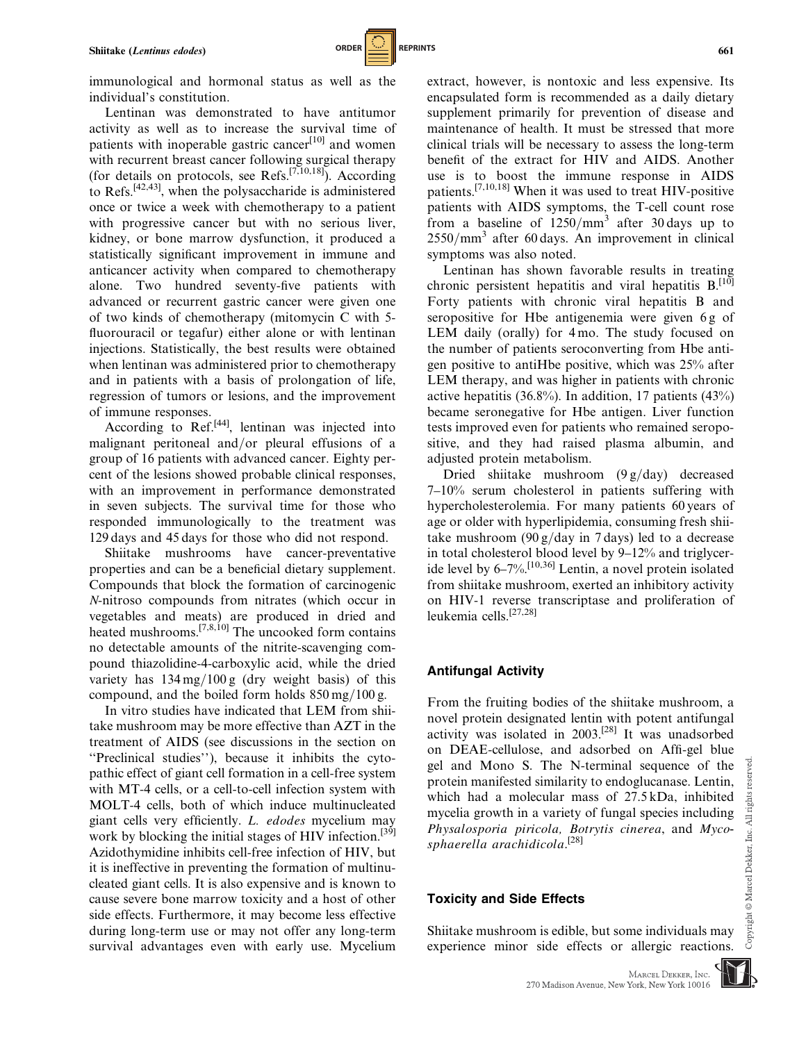

immunological and hormonal status as well as the individual's constitution.

Lentinan was demonstrated to have antitumor activity as well as to increase the survival time of patients with inoperable gastric cancer<sup>[10]</sup> and women with recurrent breast cancer following surgical therapy (for details on protocols, see Refs.[7,10,18]). According to Refs.<sup>[42,43]</sup>, when the polysaccharide is administered once or twice a week with chemotherapy to a patient with progressive cancer but with no serious liver, kidney, or bone marrow dysfunction, it produced a statistically significant improvement in immune and anticancer activity when compared to chemotherapy alone. Two hundred seventy-five patients with advanced or recurrent gastric cancer were given one of two kinds of chemotherapy (mitomycin C with 5 fluorouracil or tegafur) either alone or with lentinan injections. Statistically, the best results were obtained when lentinan was administered prior to chemotherapy and in patients with a basis of prolongation of life, regression of tumors or lesions, and the improvement of immune responses.

According to Ref. $[44]$ , lentinan was injected into malignant peritoneal and/or pleural effusions of a group of 16 patients with advanced cancer. Eighty percent of the lesions showed probable clinical responses, with an improvement in performance demonstrated in seven subjects. The survival time for those who responded immunologically to the treatment was 129 days and 45 days for those who did not respond.

Shiitake mushrooms have cancer-preventative properties and can be a beneficial dietary supplement. Compounds that block the formation of carcinogenic N-nitroso compounds from nitrates (which occur in vegetables and meats) are produced in dried and heated mushrooms.<sup>[7,8,10]</sup> The uncooked form contains no detectable amounts of the nitrite-scavenging compound thiazolidine-4-carboxylic acid, while the dried variety has  $134 \text{ mg}/100 \text{ g}$  (dry weight basis) of this compound, and the boiled form holds  $850 \,\text{mg}/100 \,\text{g}$ .

In vitro studies have indicated that LEM from shiitake mushroom may be more effective than AZT in the treatment of AIDS (see discussions in the section on "Preclinical studies"), because it inhibits the cytopathic effect of giant cell formation in a cell-free system with MT-4 cells, or a cell-to-cell infection system with MOLT-4 cells, both of which induce multinucleated giant cells very efficiently. L. edodes mycelium may work by blocking the initial stages of HIV infection.<sup>[39]</sup> Azidothymidine inhibits cell-free infection of HIV, but it is ineffective in preventing the formation of multinucleated giant cells. It is also expensive and is known to cause severe bone marrow toxicity and a host of other side effects. Furthermore, it may become less effective during long-term use or may not offer any long-term survival advantages even with early use. Mycelium

extract, however, is nontoxic and less expensive. Its encapsulated form is recommended as a daily dietary supplement primarily for prevention of disease and maintenance of health. It must be stressed that more clinical trials will be necessary to assess the long-term benefit of the extract for HIV and AIDS. Another use is to boost the immune response in AIDS patients.[7,10,18] When it was used to treat HIV-positive patients with AIDS symptoms, the T-cell count rose from a baseline of  $1250/mm^3$  after 30 days up to  $2550/\text{mm}^3$  after 60 days. An improvement in clinical symptoms was also noted.

Lentinan has shown favorable results in treating chronic persistent hepatitis and viral hepatitis B.<sup>[10]</sup> Forty patients with chronic viral hepatitis B and seropositive for Hbe antigenemia were given 6 g of LEM daily (orally) for 4 mo. The study focused on the number of patients seroconverting from Hbe antigen positive to antiHbe positive, which was 25% after LEM therapy, and was higher in patients with chronic active hepatitis (36.8%). In addition, 17 patients (43%) became seronegative for Hbe antigen. Liver function tests improved even for patients who remained seropositive, and they had raised plasma albumin, and adjusted protein metabolism.

Dried shiitake mushroom  $(9g/day)$  decreased 7–10% serum cholesterol in patients suffering with hypercholesterolemia. For many patients 60 years of age or older with hyperlipidemia, consuming fresh shiitake mushroom  $(90 g/day \text{ in } 7 \text{ days})$  led to a decrease in total cholesterol blood level by 9–12% and triglyceride level by 6–7%. [10,36] Lentin, a novel protein isolated from shiitake mushroom, exerted an inhibitory activity on HIV-1 reverse transcriptase and proliferation of leukemia cells.[27,28]

# Antifungal Activity

From the fruiting bodies of the shiitake mushroom, a novel protein designated lentin with potent antifungal activity was isolated in 2003.[28] It was unadsorbed on DEAE-cellulose, and adsorbed on Affi-gel blue gel and Mono S. The N-terminal sequence of the protein manifested similarity to endoglucanase. Lentin, which had a molecular mass of 27.5 kDa, inhibited mycelia growth in a variety of fungal species including Physalosporia piricola, Botrytis cinerea, and Mycosphaerella arachidicola.<sup>[28]</sup>

# Toxicity and Side Effects

Shiitake mushroom is edible, but some individuals may experience minor side effects or allergic reactions.

reserved

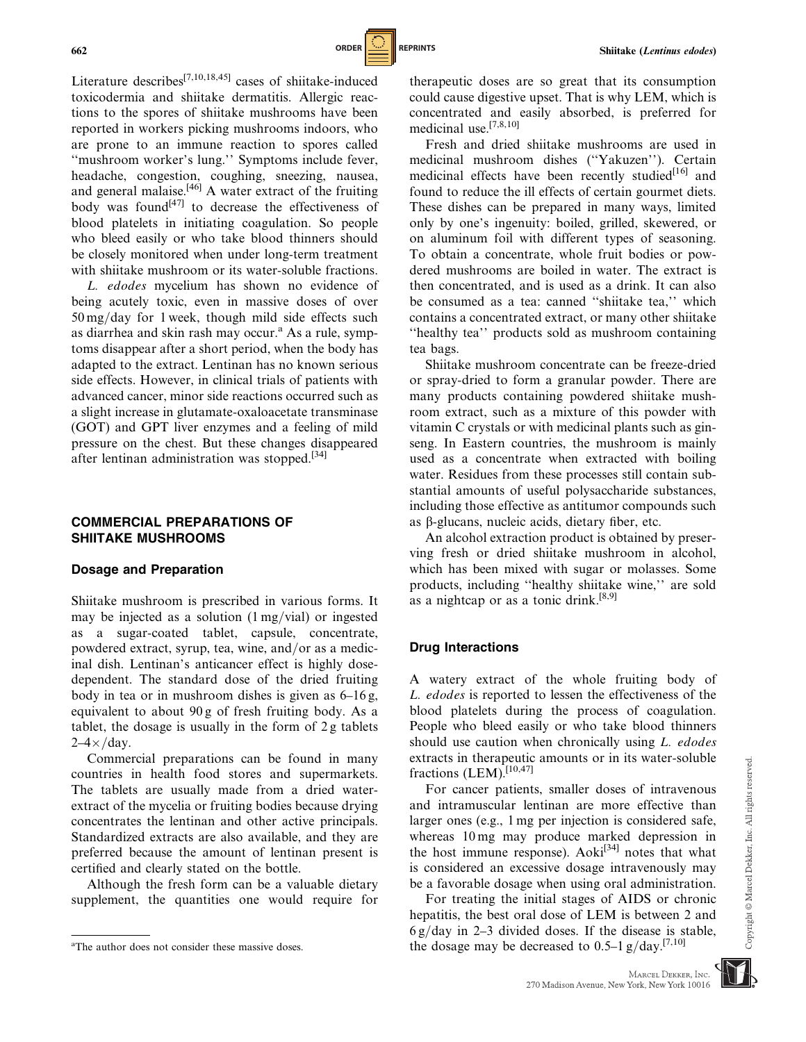

Literature describes<sup>[7,10,18,45]</sup> cases of shiitake-induced toxicodermia and shiitake dermatitis. Allergic reactions to the spores of shiitake mushrooms have been reported in workers picking mushrooms indoors, who are prone to an immune reaction to spores called ''mushroom worker's lung.'' Symptoms include fever, headache, congestion, coughing, sneezing, nausea, and general malaise. $[46]$  A water extract of the fruiting body was found<sup>[47]</sup> to decrease the effectiveness of blood platelets in initiating coagulation. So people who bleed easily or who take blood thinners should be closely monitored when under long-term treatment with shiitake mushroom or its water-soluble fractions.

L. edodes mycelium has shown no evidence of being acutely toxic, even in massive doses of over  $50 \,\text{mg/day}$  for 1 week, though mild side effects such as diarrhea and skin rash may occur. $a^2$  As a rule, symptoms disappear after a short period, when the body has adapted to the extract. Lentinan has no known serious side effects. However, in clinical trials of patients with advanced cancer, minor side reactions occurred such as a slight increase in glutamate-oxaloacetate transminase (GOT) and GPT liver enzymes and a feeling of mild pressure on the chest. But these changes disappeared after lentinan administration was stopped.<sup>[34]</sup>

## COMMERCIAL PREPARATIONS OF SHIITAKE MUSHROOMS

#### Dosage and Preparation

Shiitake mushroom is prescribed in various forms. It may be injected as a solution  $(1 \text{ mg}/\text{vial})$  or ingested as a sugar-coated tablet, capsule, concentrate, powdered extract, syrup, tea, wine, and/or as a medicinal dish. Lentinan's anticancer effect is highly dosedependent. The standard dose of the dried fruiting body in tea or in mushroom dishes is given as 6–16 g, equivalent to about 90 g of fresh fruiting body. As a tablet, the dosage is usually in the form of 2 g tablets  $2-4\times$ /day.

Commercial preparations can be found in many countries in health food stores and supermarkets. The tablets are usually made from a dried waterextract of the mycelia or fruiting bodies because drying concentrates the lentinan and other active principals. Standardized extracts are also available, and they are preferred because the amount of lentinan present is certified and clearly stated on the bottle.

Although the fresh form can be a valuable dietary supplement, the quantities one would require for therapeutic doses are so great that its consumption could cause digestive upset. That is why LEM, which is concentrated and easily absorbed, is preferred for medicinal use.[7,8,10]

Fresh and dried shiitake mushrooms are used in medicinal mushroom dishes (''Yakuzen''). Certain medicinal effects have been recently studied $[16]$  and found to reduce the ill effects of certain gourmet diets. These dishes can be prepared in many ways, limited only by one's ingenuity: boiled, grilled, skewered, or on aluminum foil with different types of seasoning. To obtain a concentrate, whole fruit bodies or powdered mushrooms are boiled in water. The extract is then concentrated, and is used as a drink. It can also be consumed as a tea: canned ''shiitake tea,'' which contains a concentrated extract, or many other shiitake ''healthy tea'' products sold as mushroom containing tea bags.

Shiitake mushroom concentrate can be freeze-dried or spray-dried to form a granular powder. There are many products containing powdered shiitake mushroom extract, such as a mixture of this powder with vitamin C crystals or with medicinal plants such as ginseng. In Eastern countries, the mushroom is mainly used as a concentrate when extracted with boiling water. Residues from these processes still contain substantial amounts of useful polysaccharide substances, including those effective as antitumor compounds such as b-glucans, nucleic acids, dietary fiber, etc.

An alcohol extraction product is obtained by preserving fresh or dried shiitake mushroom in alcohol, which has been mixed with sugar or molasses. Some products, including ''healthy shiitake wine,'' are sold as a nightcap or as a tonic drink.<sup>[8,9]</sup>

# Drug Interactions

A watery extract of the whole fruiting body of L. edodes is reported to lessen the effectiveness of the blood platelets during the process of coagulation. People who bleed easily or who take blood thinners should use caution when chronically using *L. edodes* extracts in therapeutic amounts or in its water-soluble fractions (LEM).<sup>[10,47]</sup>

For cancer patients, smaller doses of intravenous and intramuscular lentinan are more effective than larger ones (e.g., 1 mg per injection is considered safe, whereas 10 mg may produce marked depression in the host immune response). Aoki $[34]$  notes that what is considered an excessive dosage intravenously may be a favorable dosage when using oral administration.

For treating the initial stages of AIDS or chronic hepatitis, the best oral dose of LEM is between 2 and  $6 g/day$  in 2–3 divided doses. If the disease is stable, <sup>a</sup>The author does not consider these massive doses. The dosage may be decreased to  $0.5-1$  g/day.<sup>[7,10]</sup>

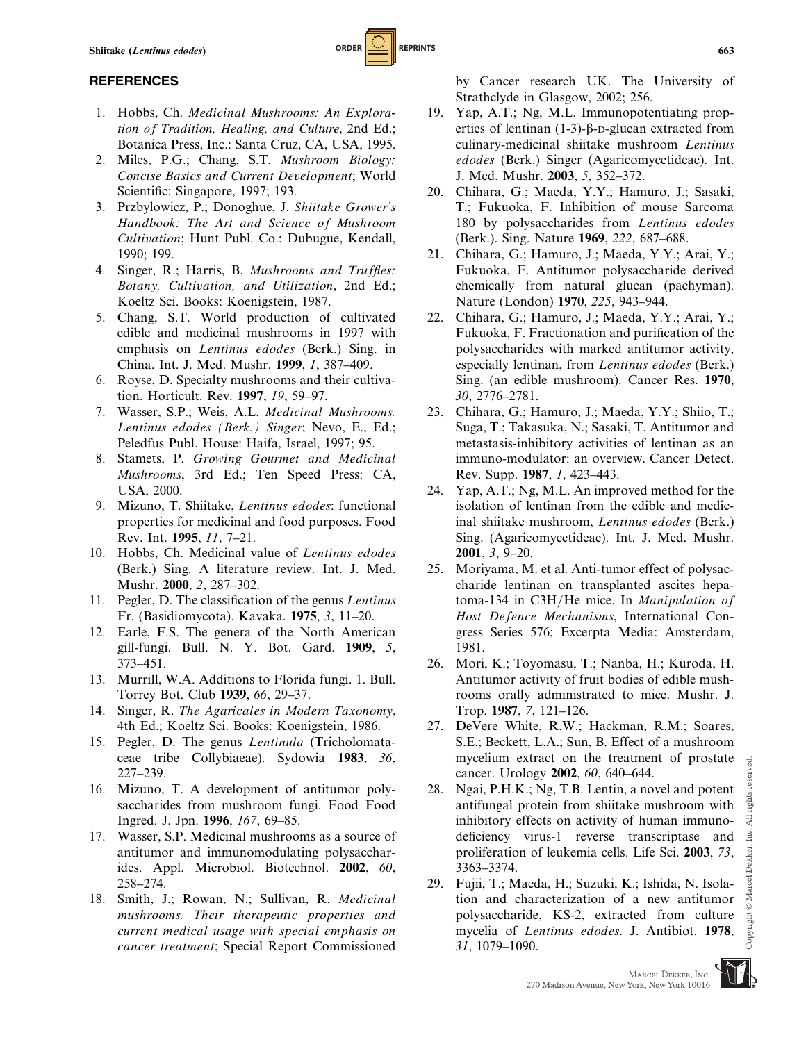

# **REFERENCES**

- 1. Hobbs, Ch. Medicinal Mushrooms: An Exploration of Tradition, Healing, and Culture, 2nd Ed.; Botanica Press, Inc.: Santa Cruz, CA, USA, 1995.
- 2. Miles, P.G.; Chang, S.T. Mushroom Biology: Concise Basics and Current Development; World Scientific: Singapore, 1997; 193.
- 3. Przbylowicz, P.; Donoghue, J. Shiitake Grower's Handbook: The Art and Science of Mushroom Cultivation; Hunt Publ. Co.: Dubugue, Kendall, 1990; 199.
- 4. Singer, R.; Harris, B. Mushrooms and Truffles: Botany, Cultivation, and Utilization, 2nd Ed.; Koeltz Sci. Books: Koenigstein, 1987.
- 5. Chang, S.T. World production of cultivated edible and medicinal mushrooms in 1997 with emphasis on Lentinus edodes (Berk.) Sing. in China. Int. J. Med. Mushr. 1999, <sup>1</sup>, 387–409.
- 6. Royse, D. Specialty mushrooms and their cultivation. Horticult. Rev. 1997, <sup>19</sup>, 59–97.
- 7. Wasser, S.P.; Weis, A.L. Medicinal Mushrooms. Lentinus edodes (Berk.) Singer; Nevo, E., Ed.; Peledfus Publ. House: Haifa, Israel, 1997; 95.
- 8. Stamets, P. Growing Gourmet and Medicinal Mushrooms, 3rd Ed.; Ten Speed Press: CA, USA, 2000.
- 9. Mizuno, T. Shiitake, Lentinus edodes: functional properties for medicinal and food purposes. Food Rev. Int. 1995, <sup>11</sup>, 7–21.
- 10. Hobbs, Ch. Medicinal value of Lentinus edodes (Berk.) Sing. A literature review. Int. J. Med. Mushr. 2000, <sup>2</sup>, 287–302.
- 11. Pegler, D. The classification of the genus Lentinus Fr. (Basidiomycota). Kavaka. 1975, <sup>3</sup>, 11–20.
- 12. Earle, F.S. The genera of the North American gill-fungi. Bull. N. Y. Bot. Gard. 1909, <sup>5</sup>, 373–451.
- 13. Murrill, W.A. Additions to Florida fungi. 1. Bull. Torrey Bot. Club 1939, <sup>66</sup>, 29–37.
- 14. Singer, R. The Agaricales in Modern Taxonomy, 4th Ed.; Koeltz Sci. Books: Koenigstein, 1986.
- 15. Pegler, D. The genus Lentinula (Tricholomataceae tribe Collybiaeae). Sydowia 1983, <sup>36</sup>, 227–239.
- 16. Mizuno, T. A development of antitumor polysaccharides from mushroom fungi. Food Food Ingred. J. Jpn. 1996, <sup>167</sup>, 69–85.
- 17. Wasser, S.P. Medicinal mushrooms as a source of antitumor and immunomodulating polysaccharides. Appl. Microbiol. Biotechnol. 2002, <sup>60</sup>, 258–274.
- 18. Smith, J.; Rowan, N.; Sullivan, R. Medicinal mushrooms. Their therapeutic properties and current medical usage with special emphasis on cancer treatment; Special Report Commissioned

by Cancer research UK. The University of Strathclyde in Glasgow, 2002; 256.

- 19. Yap, A.T.; Ng, M.L. Immunopotentiating properties of lentinan  $(1-3)$ - $\beta$ - $D$ -glucan extracted from culinary-medicinal shiitake mushroom Lentinus edodes (Berk.) Singer (Agaricomycetideae). Int. J. Med. Mushr. 2003, <sup>5</sup>, 352–372.
- 20. Chihara, G.; Maeda, Y.Y.; Hamuro, J.; Sasaki, T.; Fukuoka, F. Inhibition of mouse Sarcoma 180 by polysaccharides from Lentinus edodes (Berk.). Sing. Nature 1969, <sup>222</sup>, 687–688.
- 21. Chihara, G.; Hamuro, J.; Maeda, Y.Y.; Arai, Y.; Fukuoka, F. Antitumor polysaccharide derived chemically from natural glucan (pachyman). Nature (London) 1970, <sup>225</sup>, 943–944.
- 22. Chihara, G.; Hamuro, J.; Maeda, Y.Y.; Arai, Y.; Fukuoka, F. Fractionation and purification of the polysaccharides with marked antitumor activity, especially lentinan, from Lentinus edodes (Berk.) Sing. (an edible mushroom). Cancer Res. 1970, 30, 2776–2781.
- 23. Chihara, G.; Hamuro, J.; Maeda, Y.Y.; Shiio, T.; Suga, T.; Takasuka, N.; Sasaki, T. Antitumor and metastasis-inhibitory activities of lentinan as an immuno-modulator: an overview. Cancer Detect. Rev. Supp. 1987, <sup>1</sup>, 423–443.
- 24. Yap, A.T.; Ng, M.L. An improved method for the isolation of lentinan from the edible and medicinal shiitake mushroom, Lentinus edodes (Berk.) Sing. (Agaricomycetideae). Int. J. Med. Mushr. 2001, <sup>3</sup>, 9–20.
- 25. Moriyama, M. et al. Anti-tumor effect of polysaccharide lentinan on transplanted ascites hepatoma-134 in C3H/He mice. In Manipulation of Host Defence Mechanisms, International Congress Series 576; Excerpta Media: Amsterdam, 1981.
- 26. Mori, K.; Toyomasu, T.; Nanba, H.; Kuroda, H. Antitumor activity of fruit bodies of edible mushrooms orally administrated to mice. Mushr. J. Trop. 1987, <sup>7</sup>, 121–126.
- 27. DeVere White, R.W.; Hackman, R.M.; Soares, S.E.; Beckett, L.A.; Sun, B. Effect of a mushroom mycelium extract on the treatment of prostate cancer. Urology 2002, <sup>60</sup>, 640–644.
- 28. Ngai, P.H.K.; Ng, T.B. Lentin, a novel and potent antifungal protein from shiitake mushroom with inhibitory effects on activity of human immunodeficiency virus-1 reverse transcriptase and proliferation of leukemia cells. Life Sci. 2003, <sup>73</sup>, 3363–3374.
- 29. Fujii, T.; Maeda, H.; Suzuki, K.; Ishida, N. Isolation and characterization of a new antitumor polysaccharide, KS-2, extracted from culture mycelia of Lentinus edodes. J. Antibiot. 1978, 31, 1079–1090.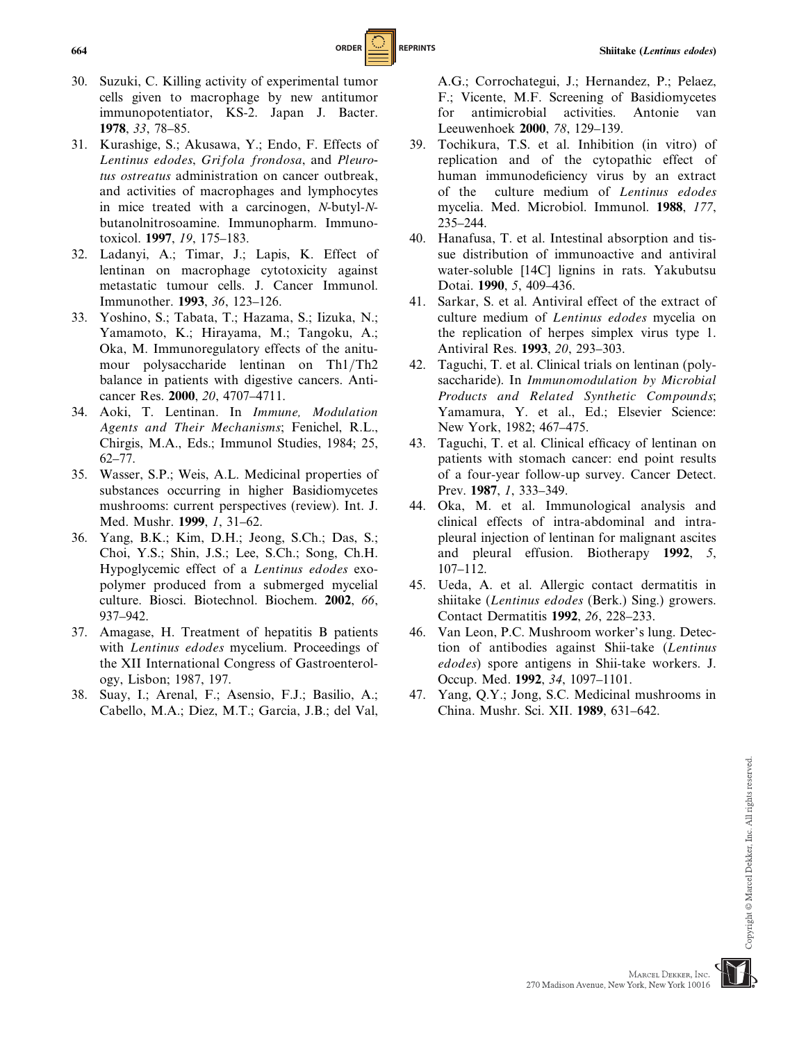

- 30. Suzuki, C. Killing activity of experimental tumor cells given to macrophage by new antitumor immunopotentiator, KS-2. Japan J. Bacter. 1978, <sup>33</sup>, 78–85.
- 31. Kurashige, S.; Akusawa, Y.; Endo, F. Effects of Lentinus edodes, Grifola frondosa, and Pleurotus ostreatus administration on cancer outbreak, and activities of macrophages and lymphocytes in mice treated with a carcinogen, N-butyl-Nbutanolnitrosoamine. Immunopharm. Immunotoxicol. 1997, <sup>19</sup>, 175–183.
- 32. Ladanyi, A.; Timar, J.; Lapis, K. Effect of lentinan on macrophage cytotoxicity against metastatic tumour cells. J. Cancer Immunol. Immunother. 1993, <sup>36</sup>, 123–126.
- 33. Yoshino, S.; Tabata, T.; Hazama, S.; Iizuka, N.; Yamamoto, K.; Hirayama, M.; Tangoku, A.; Oka, M. Immunoregulatory effects of the anitumour polysaccharide lentinan on Th1/Th2 balance in patients with digestive cancers. Anticancer Res. 2000, <sup>20</sup>, 4707–4711.
- 34. Aoki, T. Lentinan. In Immune, Modulation Agents and Their Mechanisms; Fenichel, R.L., Chirgis, M.A., Eds.; Immunol Studies, 1984; 25, 62–77.
- 35. Wasser, S.P.; Weis, A.L. Medicinal properties of substances occurring in higher Basidiomycetes mushrooms: current perspectives (review). Int. J. Med. Mushr. 1999, <sup>1</sup>, 31–62.
- 36. Yang, B.K.; Kim, D.H.; Jeong, S.Ch.; Das, S.; Choi, Y.S.; Shin, J.S.; Lee, S.Ch.; Song, Ch.H. Hypoglycemic effect of a Lentinus edodes exopolymer produced from a submerged mycelial culture. Biosci. Biotechnol. Biochem. 2002, <sup>66</sup>, 937–942.
- 37. Amagase, H. Treatment of hepatitis B patients with *Lentinus edodes* mycelium. Proceedings of the XII International Congress of Gastroenterology, Lisbon; 1987, 197.
- 38. Suay, I.; Arenal, F.; Asensio, F.J.; Basilio, A.; Cabello, M.A.; Diez, M.T.; Garcia, J.B.; del Val,

A.G.; Corrochategui, J.; Hernandez, P.; Pelaez, F.; Vicente, M.F. Screening of Basidiomycetes for antimicrobial activities. Antonie van Leeuwenhoek 2000, <sup>78</sup>, 129–139.

- 39. Tochikura, T.S. et al. Inhibition (in vitro) of replication and of the cytopathic effect of human immunodeficiency virus by an extract of the culture medium of Lentinus edodes mycelia. Med. Microbiol. Immunol. 1988, <sup>177</sup>, 235–244.
- 40. Hanafusa, T. et al. Intestinal absorption and tissue distribution of immunoactive and antiviral water-soluble [14C] lignins in rats. Yakubutsu Dotai. 1990, <sup>5</sup>, 409–436.
- 41. Sarkar, S. et al. Antiviral effect of the extract of culture medium of Lentinus edodes mycelia on the replication of herpes simplex virus type 1. Antiviral Res. 1993, <sup>20</sup>, 293–303.
- 42. Taguchi, T. et al. Clinical trials on lentinan (polysaccharide). In Immunomodulation by Microbial Products and Related Synthetic Compounds; Yamamura, Y. et al., Ed.; Elsevier Science: New York, 1982; 467–475.
- 43. Taguchi, T. et al. Clinical efficacy of lentinan on patients with stomach cancer: end point results of a four-year follow-up survey. Cancer Detect. Prev. 1987, 1, 333–349.
- 44. Oka, M. et al. Immunological analysis and clinical effects of intra-abdominal and intrapleural injection of lentinan for malignant ascites and pleural effusion. Biotherapy 1992, <sup>5</sup>, 107–112.
- 45. Ueda, A. et al. Allergic contact dermatitis in shiitake (Lentinus edodes (Berk.) Sing.) growers. Contact Dermatitis 1992, <sup>26</sup>, 228–233.
- 46. Van Leon, P.C. Mushroom worker's lung. Detection of antibodies against Shii-take (Lentinus edodes) spore antigens in Shii-take workers. J. Occup. Med. 1992, <sup>34</sup>, 1097–1101.
- 47. Yang, Q.Y.; Jong, S.C. Medicinal mushrooms in China. Mushr. Sci. XII. 1989, 631–642.